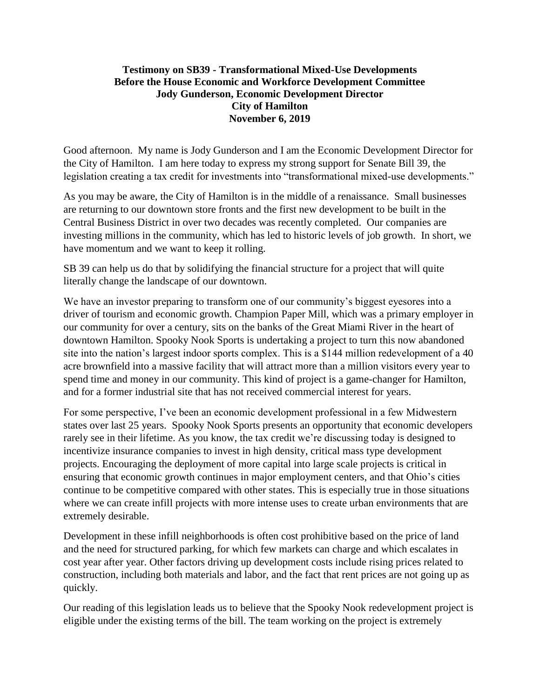## **Testimony on SB39 - Transformational Mixed-Use Developments Before the House Economic and Workforce Development Committee Jody Gunderson, Economic Development Director City of Hamilton November 6, 2019**

Good afternoon. My name is Jody Gunderson and I am the Economic Development Director for the City of Hamilton. I am here today to express my strong support for Senate Bill 39, the legislation creating a tax credit for investments into "transformational mixed-use developments."

As you may be aware, the City of Hamilton is in the middle of a renaissance. Small businesses are returning to our downtown store fronts and the first new development to be built in the Central Business District in over two decades was recently completed. Our companies are investing millions in the community, which has led to historic levels of job growth. In short, we have momentum and we want to keep it rolling.

SB 39 can help us do that by solidifying the financial structure for a project that will quite literally change the landscape of our downtown.

We have an investor preparing to transform one of our community's biggest eyesores into a driver of tourism and economic growth. Champion Paper Mill, which was a primary employer in our community for over a century, sits on the banks of the Great Miami River in the heart of downtown Hamilton. Spooky Nook Sports is undertaking a project to turn this now abandoned site into the nation's largest indoor sports complex. This is a \$144 million redevelopment of a 40 acre brownfield into a massive facility that will attract more than a million visitors every year to spend time and money in our community. This kind of project is a game-changer for Hamilton, and for a former industrial site that has not received commercial interest for years.

For some perspective, I've been an economic development professional in a few Midwestern states over last 25 years. Spooky Nook Sports presents an opportunity that economic developers rarely see in their lifetime. As you know, the tax credit we're discussing today is designed to incentivize insurance companies to invest in high density, critical mass type development projects. Encouraging the deployment of more capital into large scale projects is critical in ensuring that economic growth continues in major employment centers, and that Ohio's cities continue to be competitive compared with other states. This is especially true in those situations where we can create infill projects with more intense uses to create urban environments that are extremely desirable.

Development in these infill neighborhoods is often cost prohibitive based on the price of land and the need for structured parking, for which few markets can charge and which escalates in cost year after year. Other factors driving up development costs include rising prices related to construction, including both materials and labor, and the fact that rent prices are not going up as quickly.

Our reading of this legislation leads us to believe that the Spooky Nook redevelopment project is eligible under the existing terms of the bill. The team working on the project is extremely